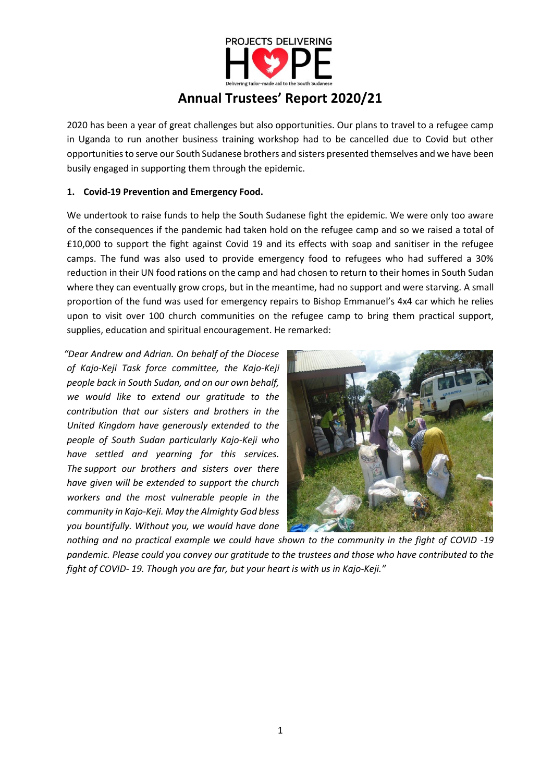

# **Annual Trustees' Report 2020/21**

2020 has been a year of great challenges but also opportunities. Our plans to travel to a refugee camp in Uganda to run another business training workshop had to be cancelled due to Covid but other opportunities to serve our South Sudanese brothers and sisters presented themselves and we have been busily engaged in supporting them through the epidemic.

## **1. Covid-19 Prevention and Emergency Food.**

We undertook to raise funds to help the South Sudanese fight the epidemic. We were only too aware of the consequences if the pandemic had taken hold on the refugee camp and so we raised a total of £10,000 to support the fight against Covid 19 and its effects with soap and sanitiser in the refugee camps. The fund was also used to provide emergency food to refugees who had suffered a 30% reduction in their UN food rations on the camp and had chosen to return to their homes in South Sudan where they can eventually grow crops, but in the meantime, had no support and were starving. A small proportion of the fund was used for emergency repairs to Bishop Emmanuel's 4x4 car which he relies upon to visit over 100 church communities on the refugee camp to bring them practical support, supplies, education and spiritual encouragement. He remarked:

*"Dear Andrew and Adrian. On behalf of the Diocese of Kajo-Keji Task force committee, the Kajo-Keji people back in South Sudan, and on our own behalf, we would like to extend our gratitude to the contribution that our sisters and brothers in the United Kingdom have generously extended to the people of South Sudan particularly Kajo-Keji who have settled and yearning for this services. The support our brothers and sisters over there have given will be extended to support the church workers and the most vulnerable people in the community in Kajo-Keji. May the Almighty God bless you bountifully. Without you, we would have done* 



*nothing and no practical example we could have shown to the community in the fight of COVID -19 pandemic. Please could you convey our gratitude to the trustees and those who have contributed to the fight of COVID- 19. Though you are far, but your heart is with us in Kajo-Keji."*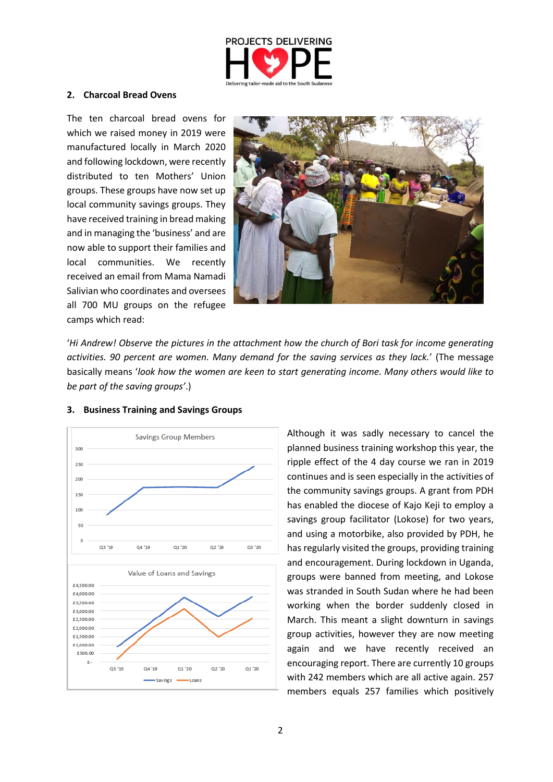

#### **2. Charcoal Bread Ovens**

The ten charcoal bread ovens for which we raised money in 2019 were manufactured locally in March 2020 and following lockdown, were recently distributed to ten Mothers' Union groups. These groups have now set up local community savings groups. They have received training in bread making and in managing the 'business' and are now able to support their families and local communities. We recently received an email from Mama Namadi Salivian who coordinates and oversees all 700 MU groups on the refugee camps which read:



'*Hi Andrew! Observe the pictures in the attachment how the church of Bori task for income generating activities. 90 percent are women. Many demand for the saving services as they lack.*' (The message basically means '*look how the women are keen to start generating income. Many others would like to be part of the saving groups'*.)



#### **3. Business Training and Savings Groups**

Although it was sadly necessary to cancel the planned business training workshop this year, the ripple effect of the 4 day course we ran in 2019 continues and is seen especially in the activities of the community savings groups. A grant from PDH has enabled the diocese of Kajo Keji to employ a savings group facilitator (Lokose) for two years, and using a motorbike, also provided by PDH, he has regularly visited the groups, providing training and encouragement. During lockdown in Uganda, groups were banned from meeting, and Lokose was stranded in South Sudan where he had been working when the border suddenly closed in March. This meant a slight downturn in savings group activities, however they are now meeting again and we have recently received an encouraging report. There are currently 10 groups with 242 members which are all active again. 257 members equals 257 families which positively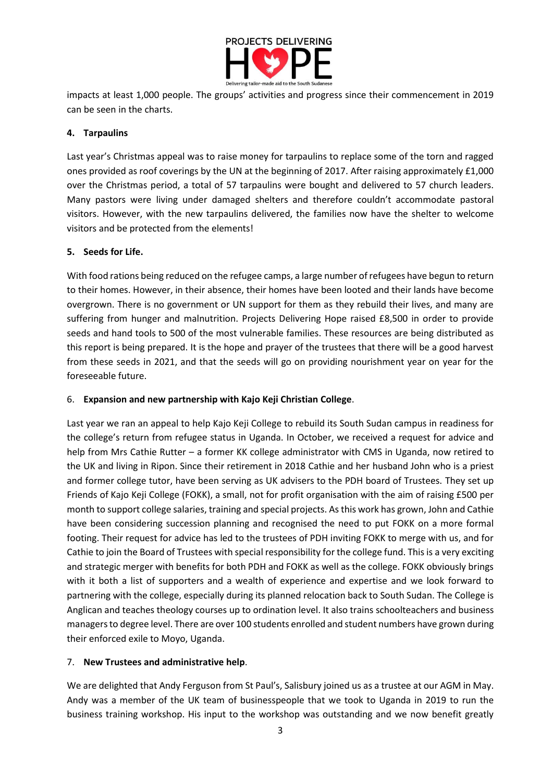

impacts at least 1,000 people. The groups' activities and progress since their commencement in 2019 can be seen in the charts.

# **4. Tarpaulins**

Last year's Christmas appeal was to raise money for tarpaulins to replace some of the torn and ragged ones provided as roof coverings by the UN at the beginning of 2017. After raising approximately £1,000 over the Christmas period, a total of 57 tarpaulins were bought and delivered to 57 church leaders. Many pastors were living under damaged shelters and therefore couldn't accommodate pastoral visitors. However, with the new tarpaulins delivered, the families now have the shelter to welcome visitors and be protected from the elements!

### **5. Seeds for Life.**

With food rations being reduced on the refugee camps, a large number of refugees have begun to return to their homes. However, in their absence, their homes have been looted and their lands have become overgrown. There is no government or UN support for them as they rebuild their lives, and many are suffering from hunger and malnutrition. Projects Delivering Hope raised £8,500 in order to provide seeds and hand tools to 500 of the most vulnerable families. These resources are being distributed as this report is being prepared. It is the hope and prayer of the trustees that there will be a good harvest from these seeds in 2021, and that the seeds will go on providing nourishment year on year for the foreseeable future.

# 6. **Expansion and new partnership with Kajo Keji Christian College**.

Last year we ran an appeal to help Kajo Keji College to rebuild its South Sudan campus in readiness for the college's return from refugee status in Uganda. In October, we received a request for advice and help from Mrs Cathie Rutter – a former KK college administrator with CMS in Uganda, now retired to the UK and living in Ripon. Since their retirement in 2018 Cathie and her husband John who is a priest and former college tutor, have been serving as UK advisers to the PDH board of Trustees. They set up Friends of Kajo Keji College (FOKK), a small, not for profit organisation with the aim of raising £500 per month to support college salaries, training and special projects. As this work has grown, John and Cathie have been considering succession planning and recognised the need to put FOKK on a more formal footing. Their request for advice has led to the trustees of PDH inviting FOKK to merge with us, and for Cathie to join the Board of Trustees with special responsibility for the college fund. This is a very exciting and strategic merger with benefits for both PDH and FOKK as well as the college. FOKK obviously brings with it both a list of supporters and a wealth of experience and expertise and we look forward to partnering with the college, especially during its planned relocation back to South Sudan. The College is Anglican and teaches theology courses up to ordination level. It also trains schoolteachers and business managers to degree level. There are over 100 students enrolled and student numbers have grown during their enforced exile to Moyo, Uganda.

# 7. **New Trustees and administrative help**.

We are delighted that Andy Ferguson from St Paul's, Salisbury joined us as a trustee at our AGM in May. Andy was a member of the UK team of businesspeople that we took to Uganda in 2019 to run the business training workshop. His input to the workshop was outstanding and we now benefit greatly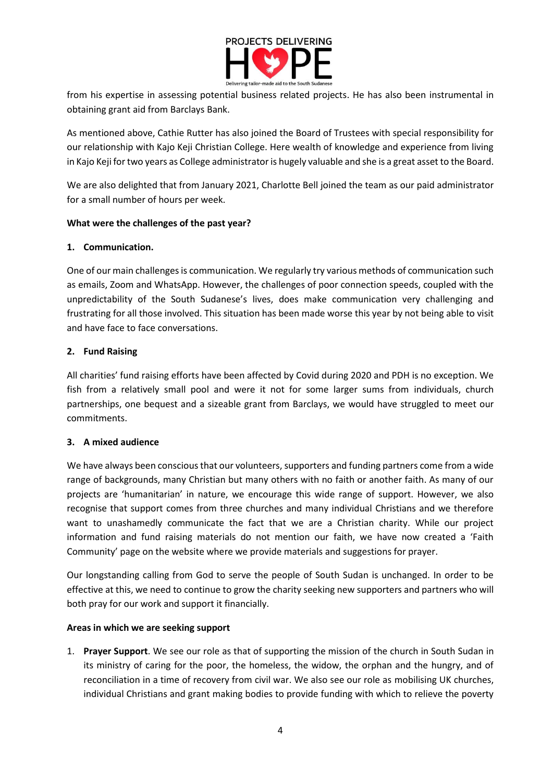

from his expertise in assessing potential business related projects. He has also been instrumental in obtaining grant aid from Barclays Bank.

As mentioned above, Cathie Rutter has also joined the Board of Trustees with special responsibility for our relationship with Kajo Keji Christian College. Here wealth of knowledge and experience from living in Kajo Keji for two years as College administrator is hugely valuable and she is a great asset to the Board.

We are also delighted that from January 2021, Charlotte Bell joined the team as our paid administrator for a small number of hours per week.

### **What were the challenges of the past year?**

### **1. Communication.**

One of our main challenges is communication. We regularly try various methods of communication such as emails, Zoom and WhatsApp. However, the challenges of poor connection speeds, coupled with the unpredictability of the South Sudanese's lives, does make communication very challenging and frustrating for all those involved. This situation has been made worse this year by not being able to visit and have face to face conversations.

### **2. Fund Raising**

All charities' fund raising efforts have been affected by Covid during 2020 and PDH is no exception. We fish from a relatively small pool and were it not for some larger sums from individuals, church partnerships, one bequest and a sizeable grant from Barclays, we would have struggled to meet our commitments.

#### **3. A mixed audience**

We have always been conscious that our volunteers, supporters and funding partners come from a wide range of backgrounds, many Christian but many others with no faith or another faith. As many of our projects are 'humanitarian' in nature, we encourage this wide range of support. However, we also recognise that support comes from three churches and many individual Christians and we therefore want to unashamedly communicate the fact that we are a Christian charity. While our project information and fund raising materials do not mention our faith, we have now created a 'Faith Community' page on the website where we provide materials and suggestions for prayer.

Our longstanding calling from God to serve the people of South Sudan is unchanged. In order to be effective at this, we need to continue to grow the charity seeking new supporters and partners who will both pray for our work and support it financially.

#### **Areas in which we are seeking support**

1. **Prayer Support**. We see our role as that of supporting the mission of the church in South Sudan in its ministry of caring for the poor, the homeless, the widow, the orphan and the hungry, and of reconciliation in a time of recovery from civil war. We also see our role as mobilising UK churches, individual Christians and grant making bodies to provide funding with which to relieve the poverty